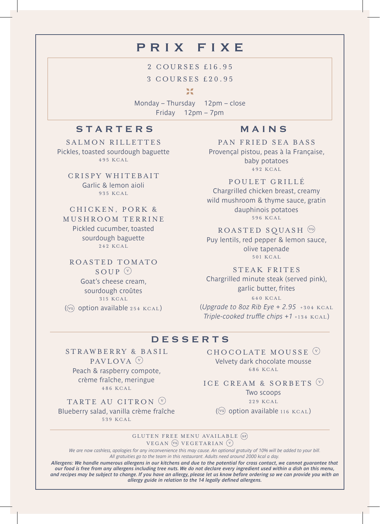# prix fixe

2 COURSES £16.95 3 COURSES £20.95

55

Monday – Thursday 12pm – close Friday 12pm – 7pm

# STARTERS MAINS

SALMON RILLETTES Pickles, toasted sourdough baguette 495 KCAL

CRISPY WHITEBAIT Garlic & lemon aioli 935 KCAL

#### CHICKEN, PORK &

MUSHROOM TERRINE Pickled cucumber, toasted sourdough baguette 242 KCAL

#### ROASTED TOMATO SOUP  $\circ$

Goat's cheese cream, sourdough croûtes 315 KCAL ( $\overline{v}$ ) option available 254 KCAL)

STRAWBERRY & BASIL PAVLOVA $\overline{V}$ Peach & raspberry compote, crème fraîche, meringue 486 KCAL TARTE AU CITRON<sup>(v)</sup> Blueberry salad, vanilla crème fraîche 539 KCAL

PAN FRIED SEA BASS Provençal pistou, peas à la Française, baby potatoes 492 KCAL

POULET GRILLÉ Chargrilled chicken breast, creamy wild mushroom & thyme sauce, gratin dauphinois potatoes 596 KCAL

### ROASTED SOUASH<sup>(vo)</sup>

Puy lentils, red pepper & lemon sauce, olive tapenade 501 KCAL

STEAK FRITES

Chargrilled minute steak (served pink), garlic butter, frites 640 KCAL

(*Upgrade to 8oz Rib Eye + 2.95* +304 KCAL *Triple-cooked truffle chips +1* +134 KCAL )

## DESSERTS

CHOCOLATE MOUSSE  $\heartsuit$ Velvety dark chocolate mousse 686 KCAL

ICE CREAM & SORBETS  $\heartsuit$ 

Two scoops

229 KCAL

( $\overline{w}$ ) option available 116 KCAL)

#### GLUTEN FREE MENU AVAILABLE VEGAN (VG) VEGETARIAN (V)

*We are now cashless, apologies for any inconvenience this may cause. An optional gratuity of 10% will be added to your bill. All gratuities go to the team in this restaurant. Adults need around 2000 kcal a day.*

*Allergens: We handle numerous allergens in our kitchens and due to the potential for cross contact, we cannot guarantee that our food is free from any allergens including tree nuts. We do not declare every ingredient used within a dish on this menu, and recipes may be subject to change. If you have an allergy, please let us know before ordering so we can provide you with an allergy guide in relation to the 14 legally defined allergens.*